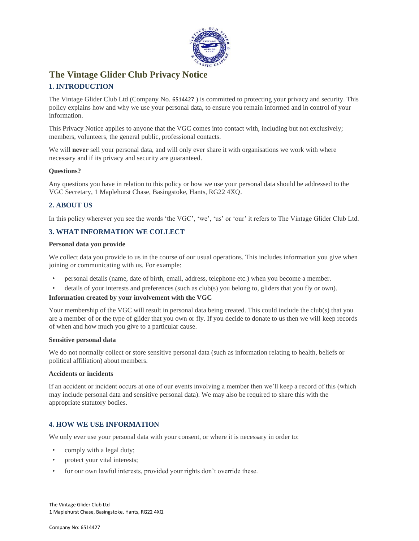

# **The Vintage Glider Club Privacy Notice**

# **1. INTRODUCTION**

The Vintage Glider Club Ltd (Company No. 6514427 ) is committed to protecting your privacy and security. This policy explains how and why we use your personal data, to ensure you remain informed and in control of your information.

This Privacy Notice applies to anyone that the VGC comes into contact with, including but not exclusively; members, volunteers, the general public, professional contacts.

We will **never** sell your personal data, and will only ever share it with organisations we work with where necessary and if its privacy and security are guaranteed.

### **Questions?**

Any questions you have in relation to this policy or how we use your personal data should be addressed to the VGC Secretary, 1 Maplehurst Chase, Basingstoke, Hants, RG22 4XQ.

# **2. ABOUT US**

In this policy wherever you see the words 'the VGC', 'we', 'us' or 'our' it refers to The Vintage Glider Club Ltd.

# **3. WHAT INFORMATION WE COLLECT**

### **Personal data you provide**

We collect data you provide to us in the course of our usual operations. This includes information you give when joining or communicating with us. For example:

- personal details (name, date of birth, email, address, telephone etc.) when you become a member.
- details of your interests and preferences (such as club(s) you belong to, gliders that you fly or own).

### **Information created by your involvement with the VGC**

Your membership of the VGC will result in personal data being created. This could include the club(s) that you are a member of or the type of glider that you own or fly. If you decide to donate to us then we will keep records of when and how much you give to a particular cause.

#### **Sensitive personal data**

We do not normally collect or store sensitive personal data (such as information relating to health, beliefs or political affiliation) about members.

### **Accidents or incidents**

If an accident or incident occurs at one of our events involving a member then we'll keep a record of this (which may include personal data and sensitive personal data). We may also be required to share this with the appropriate statutory bodies.

# **4. HOW WE USE INFORMATION**

We only ever use your personal data with your consent, or where it is necessary in order to:

- comply with a legal duty;
- protect your vital interests;
- for our own lawful interests, provided your rights don't override these.

The Vintage Glider Club Ltd 1 Maplehurst Chase, Basingstoke, Hants, RG22 4XQ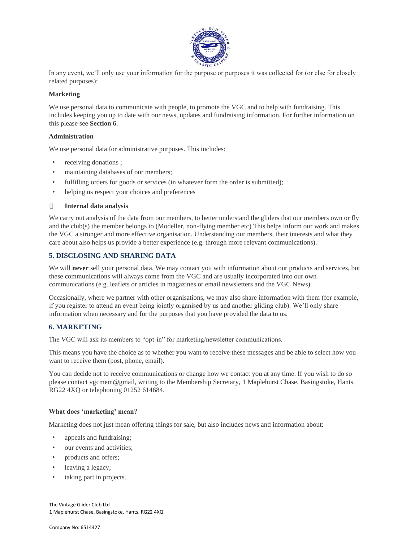

In any event, we'll only use your information for the purpose or purposes it was collected for (or else for closely related purposes):

# **Marketing**

We use personal data to communicate with people, to promote the VGC and to help with fundraising. This includes keeping you up to date with our news, updates and fundraising information. For further information on this please see **Section 6**.

### **Administration**

We use personal data for administrative purposes. This includes:

- receiving donations ;
- maintaining databases of our members;
- fulfilling orders for goods or services (in whatever form the order is submitted);
- helping us respect your choices and preferences

#### $\Box$ **Internal data analysis**

We carry out analysis of the data from our members, to better understand the gliders that our members own or fly and the club(s) the member belongs to (Modeller, non-flying member etc) This helps inform our work and makes the VGC a stronger and more effective organisation. Understanding our members, their interests and what they care about also helps us provide a better experience (e.g. through more relevant communications).

# **5. DISCLOSING AND SHARING DATA**

We will **never** sell your personal data. We may contact you with information about our products and services, but these communications will always come from the VGC and are usually incorporated into our own communications (e.g. leaflets or articles in magazines or email newsletters and the VGC News).

Occasionally, where we partner with other organisations, we may also share information with them (for example, if you register to attend an event being jointly organised by us and another gliding club). We'll only share information when necessary and for the purposes that you have provided the data to us.

# **6. MARKETING**

The VGC will ask its members to "opt-in" for marketing/newsletter communications.

This means you have the choice as to whether you want to receive these messages and be able to select how you want to receive them (post, phone, email).

You can decide not to receive communications or change how we contact you at any time. If you wish to do so please contact vgcmem@gmail, writing to the Membership Secretary, 1 Maplehurst Chase, Basingstoke, Hants, RG22 4XQ or telephoning 01252 614684.

### **What does 'marketing' mean?**

Marketing does not just mean offering things for sale, but also includes news and information about:

- appeals and fundraising;
- our events and activities;
- products and offers;
- leaving a legacy;
- taking part in projects.

The Vintage Glider Club Ltd 1 Maplehurst Chase, Basingstoke, Hants, RG22 4XQ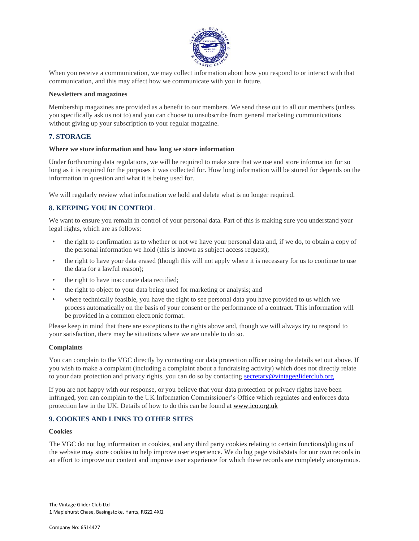

When you receive a communication, we may collect information about how you respond to or interact with that communication, and this may affect how we communicate with you in future.

#### **Newsletters and magazines**

Membership magazines are provided as a benefit to our members. We send these out to all our members (unless you specifically ask us not to) and you can choose to unsubscribe from general marketing communications without giving up your subscription to your regular magazine.

# **7. STORAGE**

#### **Where we store information and how long we store information**

Under forthcoming data regulations, we will be required to make sure that we use and store information for so long as it is required for the purposes it was collected for. How long information will be stored for depends on the information in question and what it is being used for.

We will regularly review what information we hold and delete what is no longer required.

# **8. KEEPING YOU IN CONTROL**

We want to ensure you remain in control of your personal data. Part of this is making sure you understand your legal rights, which are as follows:

- the right to confirmation as to whether or not we have your personal data and, if we do, to obtain a copy of the personal information we hold (this is known as subject access request);
- the right to have your data erased (though this will not apply where it is necessary for us to continue to use the data for a lawful reason);
- the right to have inaccurate data rectified;
- the right to object to your data being used for marketing or analysis; and
- where technically feasible, you have the right to see personal data you have provided to us which we process automatically on the basis of your consent or the performance of a contract. This information will be provided in a common electronic format.

Please keep in mind that there are exceptions to the rights above and, though we will always try to respond to your satisfaction, there may be situations where we are unable to do so.

### **Complaints**

You can complain to the VGC directly by contacting our data protection officer using the details set out above. If you wish to make a complaint (including a complaint about a fundraising activity) which does not directly relate to your data protection and privacy rights, you can do so by contacting secretary@vintagegliderclub.org

If you are not happy with our response, or you believe that your data protection or privacy rights have been infringed, you can complain to the UK Information Commissioner's Office which regulates and enforces data protection law in the UK. Details of how to do this can be found a[t](http://www.ico.org.uk/) [www.ico.org.uk](http://www.ico.org.uk/)

# **9. COOKIES AND LINKS TO OTHER SITES**

#### **Cookies**

The VGC do not log information in cookies, and any third party cookies relating to certain functions/plugins of the website may store cookies to help improve user experience. We do log page visits/stats for our own records in an effort to improve our content and improve user experience for which these records are completely anonymous.